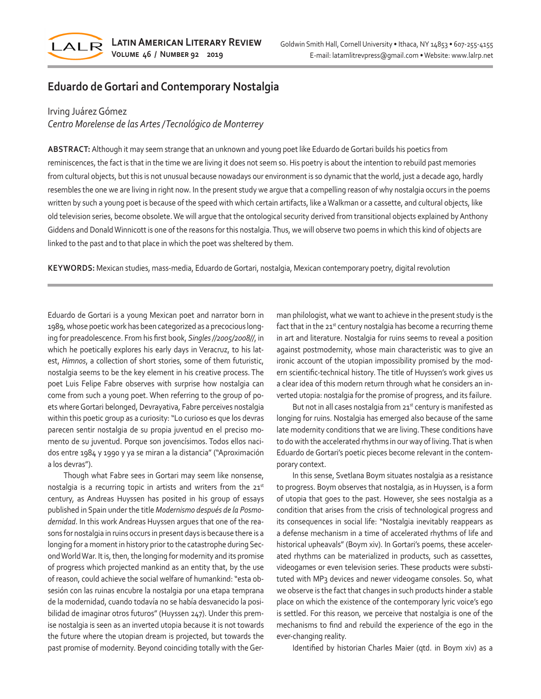

# **Eduardo de Gortari and Contemporary Nostalgia**

## Irving Juárez Gómez

*Centro Morelense de las Artes / Tecnológico de Monterrey*

**ABSTRACT:** Although it may seem strange that an unknown and young poet like Eduardo de Gortari builds his poetics from reminiscences, the fact is that in the time we are living it does not seem so. His poetry is about the intention to rebuild past memories from cultural objects, but this is not unusual because nowadays our environment is so dynamic that the world, just a decade ago, hardly resembles the one we are living in right now. In the present study we argue that a compelling reason of why nostalgia occurs in the poems written by such a young poet is because of the speed with which certain artifacts, like a Walkman or a cassette, and cultural objects, like old television series, become obsolete. We will argue that the ontological security derived from transitional objects explained by Anthony Giddens and Donald Winnicott is one of the reasons for this nostalgia. Thus, we will observe two poems in which this kind of objects are linked to the past and to that place in which the poet was sheltered by them.

**KEYWORDS:** Mexican studies, mass-media, Eduardo de Gortari, nostalgia, Mexican contemporary poetry, digital revolution

Eduardo de Gortari is a young Mexican poet and narrator born in 1989, whose poetic work has been categorized as a precocious longing for preadolescence. From his first book, *Singles //2005/2008//*, in which he poetically explores his early days in Veracruz, to his latest, *Himnos*, a collection of short stories, some of them futuristic, nostalgia seems to be the key element in his creative process. The poet Luis Felipe Fabre observes with surprise how nostalgia can come from such a young poet. When referring to the group of poets where Gortari belonged, Devrayativa, Fabre perceives nostalgia within this poetic group as a curiosity: "Lo curioso es que los devras parecen sentir nostalgia de su propia juventud en el preciso momento de su juventud. Porque son jovencísimos. Todos ellos nacidos entre 1984 y 1990 y ya se miran a la distancia" ("Aproximación a los devras").

Though what Fabre sees in Gortari may seem like nonsense, nostalgia is a recurring topic in artists and writers from the 21st century, as Andreas Huyssen has posited in his group of essays published in Spain under the title *Modernismo después de la Posmodernidad*. In this work Andreas Huyssen argues that one of the reasons for nostalgia in ruins occurs in present days is because there is a longing for a moment in history prior to the catastrophe during Second World War. It is, then, the longing for modernity and its promise of progress which projected mankind as an entity that, by the use of reason, could achieve the social welfare of humankind: "esta obsesión con las ruinas encubre la nostalgia por una etapa temprana de la modernidad, cuando todavía no se había desvanecido la posibilidad de imaginar otros futuros" (Huyssen 247). Under this premise nostalgia is seen as an inverted utopia because it is not towards the future where the utopian dream is projected, but towards the past promise of modernity. Beyond coinciding totally with the German philologist, what we want to achieve in the present study is the fact that in the 21<sup>st</sup> century nostalgia has become a recurring theme in art and literature. Nostalgia for ruins seems to reveal a position against postmodernity, whose main characteristic was to give an ironic account of the utopian impossibility promised by the modern scientific-technical history. The title of Huyssen's work gives us a clear idea of this modern return through what he considers an inverted utopia: nostalgia for the promise of progress, and its failure.

But not in all cases nostalgia from 21<sup>st</sup> century is manifested as longing for ruins. Nostalgia has emerged also because of the same late modernity conditions that we are living. These conditions have to do with the accelerated rhythms in our way of living. That is when Eduardo de Gortari's poetic pieces become relevant in the contemporary context.

In this sense, Svetlana Boym situates nostalgia as a resistance to progress. Boym observes that nostalgia, as in Huyssen, is a form of utopia that goes to the past. However, she sees nostalgia as a condition that arises from the crisis of technological progress and its consequences in social life: "Nostalgia inevitably reappears as a defense mechanism in a time of accelerated rhythms of life and historical upheavals" (Boym xiv). In Gortari's poems, these accelerated rhythms can be materialized in products, such as cassettes, videogames or even television series. These products were substituted with MP<sub>3</sub> devices and newer videogame consoles. So, what we observe is the fact that changes in such products hinder a stable place on which the existence of the contemporary lyric voice's ego is settled. For this reason, we perceive that nostalgia is one of the mechanisms to find and rebuild the experience of the ego in the ever-changing reality.

Identified by historian Charles Maier (qtd. in Boym xiv) as a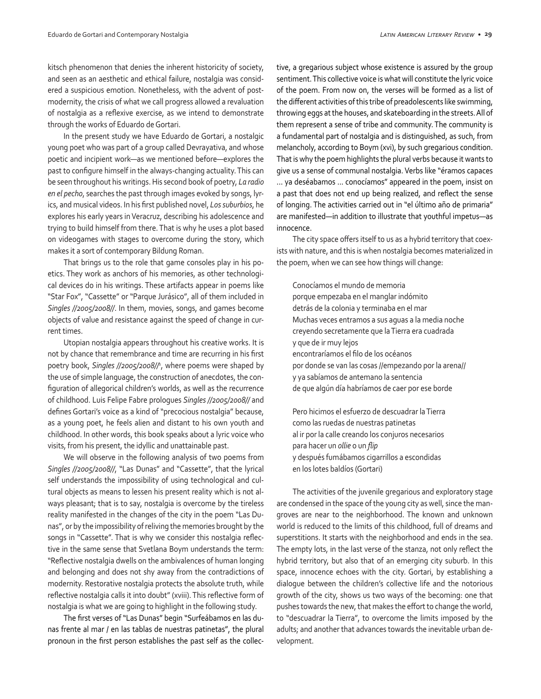kitsch phenomenon that denies the inherent historicity of society, and seen as an aesthetic and ethical failure, nostalgia was considered a suspicious emotion. Nonetheless, with the advent of postmodernity, the crisis of what we call progress allowed a revaluation of nostalgia as a reflexive exercise, as we intend to demonstrate through the works of Eduardo de Gortari.

In the present study we have Eduardo de Gortari, a nostalgic young poet who was part of a group called Devrayativa, and whose poetic and incipient work—as we mentioned before—explores the past to configure himself in the always-changing actuality. This can be seen throughout his writings. His second book of poetry, *La radio en el pecho*, searches the past through images evoked by songs, lyrics, and musical videos. In his first published novel, *Los suburbios*, he explores his early years in Veracruz, describing his adolescence and trying to build himself from there. That is why he uses a plot based on videogames with stages to overcome during the story, which makes it a sort of contemporary Bildung Roman.

That brings us to the role that game consoles play in his poetics. They work as anchors of his memories, as other technological devices do in his writings. These artifacts appear in poems like "Star Fox", "Cassette" or "Parque Jurásico", all of them included in *Singles //2005/2008//*. In them, movies, songs, and games become objects of value and resistance against the speed of change in current times.

Utopian nostalgia appears throughout his creative works. It is not by chance that remembrance and time are recurring in his first poetry book, *Singles //2005/2008//*<sup>1</sup> , where poems were shaped by the use of simple language, the construction of anecdotes, the configuration of allegorical children's worlds, as well as the recurrence of childhood. Luis Felipe Fabre prologues *Singles //2005/2008//* and defines Gortari's voice as a kind of "precocious nostalgia" because, as a young poet, he feels alien and distant to his own youth and childhood. In other words, this book speaks about a lyric voice who visits, from his present, the idyllic and unattainable past.

We will observe in the following analysis of two poems from *Singles //2005/2008//*, "Las Dunas" and "Cassette", that the lyrical self understands the impossibility of using technological and cultural objects as means to lessen his present reality which is not always pleasant; that is to say, nostalgia is overcome by the tireless reality manifested in the changes of the city in the poem "Las Dunas", or by the impossibility of reliving the memories brought by the songs in "Cassette". That is why we consider this nostalgia reflective in the same sense that Svetlana Boym understands the term: "Reflective nostalgia dwells on the ambivalences of human longing and belonging and does not shy away from the contradictions of modernity. Restorative nostalgia protects the absolute truth, while reflective nostalgia calls it into doubt" (xviii). This reflective form of nostalgia is what we are going to highlight in the following study.

The first verses of "Las Dunas" begin "Surfeábamos en las dunas frente al mar / en las tablas de nuestras patinetas", the plural pronoun in the first person establishes the past self as the collective, a gregarious subject whose existence is assured by the group sentiment. This collective voice is what will constitute the lyric voice of the poem. From now on, the verses will be formed as a list of the different activities of this tribe of preadolescents like swimming, throwing eggs at the houses, and skateboarding in the streets. All of them represent a sense of tribe and community. The community is a fundamental part of nostalgia and is distinguished, as such, from melancholy, according to Boym (xvi), by such gregarious condition. That is why the poem highlights the plural verbs because it wants to give us a sense of communal nostalgia. Verbs like "éramos capaces ... ya deséabamos ... conocíamos" appeared in the poem, insist on a past that does not end up being realized, and reflect the sense of longing. The activities carried out in "el último año de primaria" are manifested—in addition to illustrate that youthful impetus—as innocence.

The city space offers itself to us as a hybrid territory that coexists with nature, and this is when nostalgia becomes materialized in the poem, when we can see how things will change:

Conocíamos el mundo de memoria porque empezaba en el manglar indómito detrás de la colonia y terminaba en el mar Muchas veces entramos a sus aguas a la media noche creyendo secretamente que la Tierra era cuadrada y que de ir muy lejos encontraríamos el filo de los océanos por donde se van las cosas //empezando por la arena// y ya sabíamos de antemano la sentencia de que algún día habríamos de caer por ese borde

Pero hicimos el esfuerzo de descuadrar la Tierra como las ruedas de nuestras patinetas al ir por la calle creando los conjuros necesarios para hacer un *ollie* o un *flip* y después fumábamos cigarrillos a escondidas en los lotes baldíos (Gortari)

The activities of the juvenile gregarious and exploratory stage are condensed in the space of the young city as well, since the mangroves are near to the neighborhood. The known and unknown world is reduced to the limits of this childhood, full of dreams and superstitions. It starts with the neighborhood and ends in the sea. The empty lots, in the last verse of the stanza, not only reflect the hybrid territory, but also that of an emerging city suburb. In this space, innocence echoes with the city. Gortari, by establishing a dialogue between the children's collective life and the notorious growth of the city, shows us two ways of the becoming: one that pushes towards the new, that makes the effort to change the world, to "descuadrar la Tierra", to overcome the limits imposed by the adults; and another that advances towards the inevitable urban development.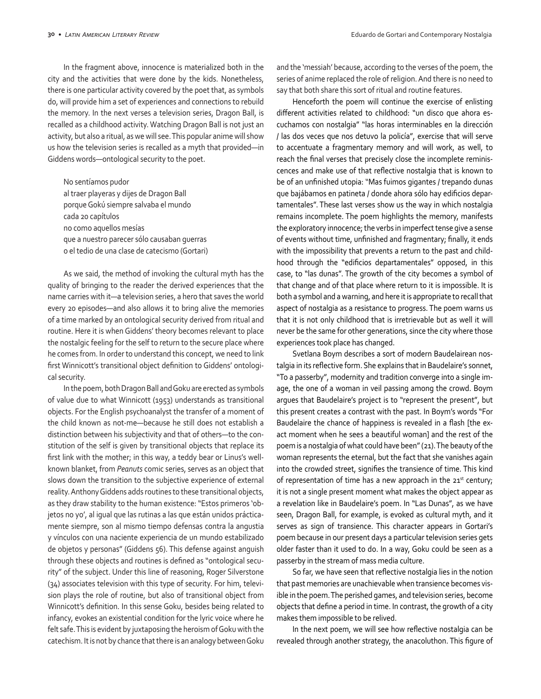In the fragment above, innocence is materialized both in the city and the activities that were done by the kids. Nonetheless, there is one particular activity covered by the poet that, as symbols do, will provide him a set of experiences and connections to rebuild the memory. In the next verses a television series, Dragon Ball, is recalled as a childhood activity. Watching Dragon Ball is not just an activity, but also a ritual, as we will see. This popular anime will show us how the television series is recalled as a myth that provided—in Giddens words—ontological security to the poet.

No sentíamos pudor al traer playeras y dijes de Dragon Ball porque Gokú siempre salvaba el mundo cada 20 capítulos no como aquellos mesías que a nuestro parecer sólo causaban guerras o el tedio de una clase de catecismo (Gortari)

As we said, the method of invoking the cultural myth has the quality of bringing to the reader the derived experiences that the name carries with it—a television series, a hero that saves the world every 20 episodes—and also allows it to bring alive the memories of a time marked by an ontological security derived from ritual and routine. Here it is when Giddens' theory becomes relevant to place the nostalgic feeling for the self to return to the secure place where he comes from. In order to understand this concept, we need to link first Winnicott's transitional object definition to Giddens' ontological security.

In the poem, both Dragon Ball and Goku are erected as symbols of value due to what Winnicott (1953) understands as transitional objects. For the English psychoanalyst the transfer of a moment of the child known as not-me—because he still does not establish a distinction between his subjectivity and that of others—to the constitution of the self is given by transitional objects that replace its first link with the mother; in this way, a teddy bear or Linus's wellknown blanket, from *Peanuts* comic series, serves as an object that slows down the transition to the subjective experience of external reality. Anthony Giddens adds routines to these transitional objects, as they draw stability to the human existence: "Estos primeros 'objetos no yo', al igual que las rutinas a las que están unidos prácticamente siempre, son al mismo tiempo defensas contra la angustia y vínculos con una naciente experiencia de un mundo estabilizado de objetos y personas" (Giddens 56). This defense against anguish through these objects and routines is defined as "ontological security" of the subject. Under this line of reasoning, Roger Silverstone (34) associates television with this type of security. For him, television plays the role of routine, but also of transitional object from Winnicott's definition. In this sense Goku, besides being related to infancy, evokes an existential condition for the lyric voice where he felt safe. This is evident by juxtaposing the heroism of Goku with the catechism. It is not by chance that there is an analogy between Goku

and the 'messiah' because, according to the verses of the poem, the series of anime replaced the role of religion. And there is no need to say that both share this sort of ritual and routine features.

Henceforth the poem will continue the exercise of enlisting different activities related to childhood: "un disco que ahora escuchamos con nostalgia" "las horas interminables en la dirección / las dos veces que nos detuvo la policía", exercise that will serve to accentuate a fragmentary memory and will work, as well, to reach the final verses that precisely close the incomplete reminiscences and make use of that reflective nostalgia that is known to be of an unfinished utopia: "Mas fuimos gigantes / trepando dunas que bajábamos en patineta / donde ahora sólo hay edificios departamentales". These last verses show us the way in which nostalgia remains incomplete. The poem highlights the memory, manifests the exploratory innocence; the verbs in imperfect tense give a sense of events without time, unfinished and fragmentary; finally, it ends with the impossibility that prevents a return to the past and childhood through the "edificios departamentales" opposed, in this case, to "las dunas". The growth of the city becomes a symbol of that change and of that place where return to it is impossible. It is both a symbol and a warning, and here it is appropriate to recall that aspect of nostalgia as a resistance to progress. The poem warns us that it is not only childhood that is irretrievable but as well it will never be the same for other generations, since the city where those experiences took place has changed.

Svetlana Boym describes a sort of modern Baudelairean nostalgia in its reflective form. She explains that in Baudelaire's sonnet, "To a passerby", modernity and tradition converge into a single image, the one of a woman in veil passing among the crowd. Boym argues that Baudelaire's project is to "represent the present", but this present creates a contrast with the past. In Boym's words "For Baudelaire the chance of happiness is revealed in a flash [the exact moment when he sees a beautiful woman] and the rest of the poem is a nostalgia of what could have been" (21). The beauty of the woman represents the eternal, but the fact that she vanishes again into the crowded street, signifies the transience of time. This kind of representation of time has a new approach in the 21<sup>st</sup> century; it is not a single present moment what makes the object appear as a revelation like in Baudelaire's poem. In "Las Dunas", as we have seen, Dragon Ball, for example, is evoked as cultural myth, and it serves as sign of transience. This character appears in Gortari's poem because in our present days a particular television series gets older faster than it used to do. In a way, Goku could be seen as a passerby in the stream of mass media culture.

So far, we have seen that reflective nostalgia lies in the notion that past memories are unachievable when transience becomes visible in the poem. The perished games, and television series, become objects that define a period in time. In contrast, the growth of a city makes them impossible to be relived.

In the next poem, we will see how reflective nostalgia can be revealed through another strategy, the anacoluthon. This figure of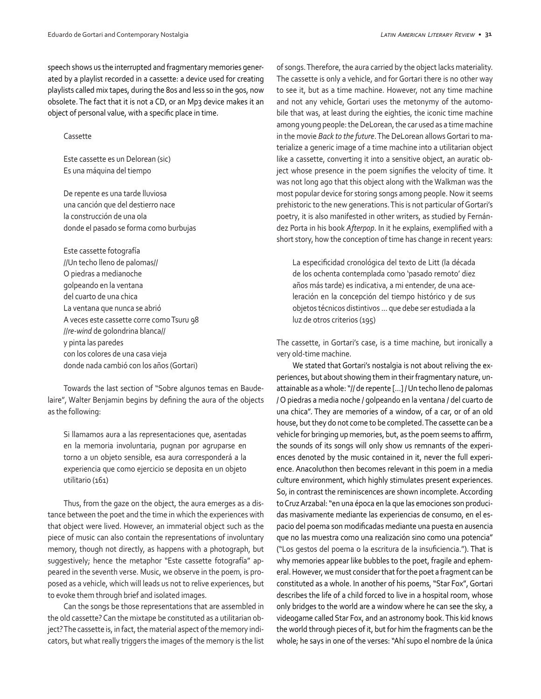speech shows us the interrupted and fragmentary memories generated by a playlist recorded in a cassette: a device used for creating playlists called mix tapes, during the 80s and less so in the 90s, now obsolete. The fact that it is not a CD, or an Mp3 device makes it an object of personal value, with a specific place in time.

#### Cassette

Este cassette es un Delorean (sic) Es una máquina del tiempo

De repente es una tarde lluviosa una canción que del destierro nace la construcción de una ola donde el pasado se forma como burbujas

Este cassette fotografía //Un techo lleno de palomas// O piedras a medianoche golpeando en la ventana del cuarto de una chica La ventana que nunca se abrió A veces este cassette corre como Tsuru 98 //*re-wind* de golondrina blanca// y pinta las paredes con los colores de una casa vieja donde nada cambió con los años (Gortari)

Towards the last section of "Sobre algunos temas en Baudelaire", Walter Benjamin begins by defining the aura of the objects as the following:

Si llamamos aura a las representaciones que, asentadas en la memoria involuntaria, pugnan por agruparse en torno a un objeto sensible, esa aura corresponderá a la experiencia que como ejercicio se deposita en un objeto utilitario (161)

Thus, from the gaze on the object, the aura emerges as a distance between the poet and the time in which the experiences with that object were lived. However, an immaterial object such as the piece of music can also contain the representations of involuntary memory, though not directly, as happens with a photograph, but suggestively; hence the metaphor "Este cassette fotografía" appeared in the seventh verse. Music, we observe in the poem, is proposed as a vehicle, which will leads us not to relive experiences, but to evoke them through brief and isolated images.

Can the songs be those representations that are assembled in the old cassette? Can the mixtape be constituted as a utilitarian object? The cassette is, in fact, the material aspect of the memory indicators, but what really triggers the images of the memory is the list of songs. Therefore, the aura carried by the object lacks materiality. The cassette is only a vehicle, and for Gortari there is no other way to see it, but as a time machine. However, not any time machine and not any vehicle, Gortari uses the metonymy of the automobile that was, at least during the eighties, the iconic time machine among young people: the DeLorean, the car used as a time machine in the movie *Back to the future*. The DeLorean allows Gortari to materialize a generic image of a time machine into a utilitarian object like a cassette, converting it into a sensitive object, an auratic object whose presence in the poem signifies the velocity of time. It was not long ago that this object along with the Walkman was the most popular device for storing songs among people. Now it seems prehistoric to the new generations. This is not particular of Gortari's poetry, it is also manifested in other writers, as studied by Fernández Porta in his book *Afterpop*. In it he explains, exemplified with a short story, how the conception of time has change in recent years:

La especificidad cronológica del texto de Litt (la década de los ochenta contemplada como 'pasado remoto' diez años más tarde) es indicativa, a mi entender, de una aceleración en la concepción del tiempo histórico y de sus objetos técnicos distintivos ... que debe ser estudiada a la luz de otros criterios (195)

The cassette, in Gortari's case, is a time machine, but ironically a very old-time machine.

We stated that Gortari's nostalgia is not about reliving the experiences, but about showing them in their fragmentary nature, unattainable as a whole: "// de repente [...] / Un techo lleno de palomas / O piedras a media noche / golpeando en la ventana / del cuarto de una chica". They are memories of a window, of a car, or of an old house, but they do not come to be completed. The cassette can be a vehicle for bringing up memories, but, as the poem seems to affirm, the sounds of its songs will only show us remnants of the experiences denoted by the music contained in it, never the full experience. Anacoluthon then becomes relevant in this poem in a media culture environment, which highly stimulates present experiences. So, in contrast the reminiscences are shown incomplete. According to Cruz Arzabal: "en una época en la que las emociones son producidas masivamente mediante las experiencias de consumo, en el espacio del poema son modificadas mediante una puesta en ausencia que no las muestra como una realización sino como una potencia" ("Los gestos del poema o la escritura de la insuficiencia."). That is why memories appear like bubbles to the poet, fragile and ephemeral. However, we must consider that for the poet a fragment can be constituted as a whole. In another of his poems, "Star Fox", Gortari describes the life of a child forced to live in a hospital room, whose only bridges to the world are a window where he can see the sky, a videogame called Star Fox, and an astronomy book. This kid knows the world through pieces of it, but for him the fragments can be the whole; he says in one of the verses: "Ahí supo el nombre de la única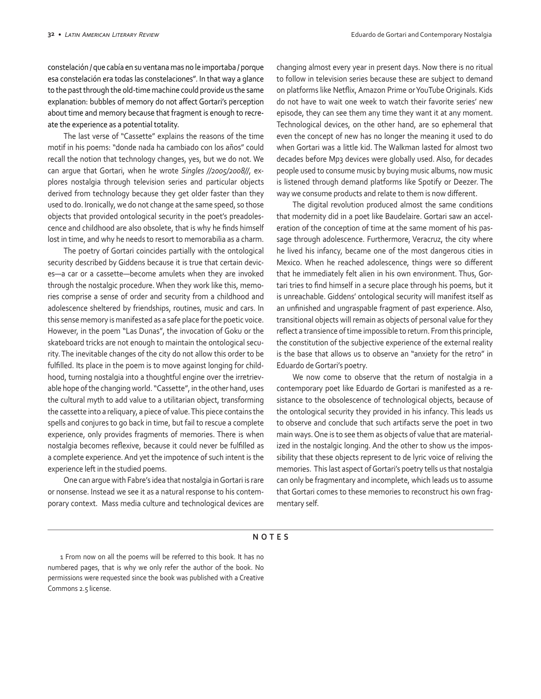constelación / que cabía en su ventana mas no le importaba / porque esa constelación era todas las constelaciones". In that way a glance to the past through the old-time machine could provide us the same explanation: bubbles of memory do not affect Gortari's perception about time and memory because that fragment is enough to recreate the experience as a potential totality.

The last verse of "Cassette" explains the reasons of the time motif in his poems: "donde nada ha cambiado con los años" could recall the notion that technology changes, yes, but we do not. We can argue that Gortari, when he wrote *Singles //2005/2008//*, explores nostalgia through television series and particular objects derived from technology because they get older faster than they used to do. Ironically, we do not change at the same speed, so those objects that provided ontological security in the poet's preadolescence and childhood are also obsolete, that is why he finds himself lost in time, and why he needs to resort to memorabilia as a charm.

The poetry of Gortari coincides partially with the ontological security described by Giddens because it is true that certain devices—a car or a cassette—become amulets when they are invoked through the nostalgic procedure. When they work like this, memories comprise a sense of order and security from a childhood and adolescence sheltered by friendships, routines, music and cars. In this sense memory is manifested as a safe place for the poetic voice. However, in the poem "Las Dunas", the invocation of Goku or the skateboard tricks are not enough to maintain the ontological security. The inevitable changes of the city do not allow this order to be fulfilled. Its place in the poem is to move against longing for childhood, turning nostalgia into a thoughtful engine over the irretrievable hope of the changing world. "Cassette", in the other hand, uses the cultural myth to add value to a utilitarian object, transforming the cassette into a reliquary, a piece of value. This piece contains the spells and conjures to go back in time, but fail to rescue a complete experience, only provides fragments of memories. There is when nostalgia becomes reflexive, because it could never be fulfilled as a complete experience. And yet the impotence of such intent is the experience left in the studied poems.

One can argue with Fabre's idea that nostalgia in Gortari is rare or nonsense. Instead we see it as a natural response to his contemporary context. Mass media culture and technological devices are

changing almost every year in present days. Now there is no ritual to follow in television series because these are subject to demand on platforms like Netflix, Amazon Prime or YouTube Originals. Kids do not have to wait one week to watch their favorite series' new episode, they can see them any time they want it at any moment. Technological devices, on the other hand, are so ephemeral that even the concept of new has no longer the meaning it used to do when Gortari was a little kid. The Walkman lasted for almost two decades before Mp3 devices were globally used. Also, for decades people used to consume music by buying music albums, now music is listened through demand platforms like Spotify or Deezer. The way we consume products and relate to them is now different.

The digital revolution produced almost the same conditions that modernity did in a poet like Baudelaire. Gortari saw an acceleration of the conception of time at the same moment of his passage through adolescence. Furthermore, Veracruz, the city where he lived his infancy, became one of the most dangerous cities in Mexico. When he reached adolescence, things were so different that he immediately felt alien in his own environment. Thus, Gortari tries to find himself in a secure place through his poems, but it is unreachable. Giddens' ontological security will manifest itself as an unfinished and ungraspable fragment of past experience. Also, transitional objects will remain as objects of personal value for they reflect a transience of time impossible to return. From this principle, the constitution of the subjective experience of the external reality is the base that allows us to observe an "anxiety for the retro" in Eduardo de Gortari's poetry.

We now come to observe that the return of nostalgia in a contemporary poet like Eduardo de Gortari is manifested as a resistance to the obsolescence of technological objects, because of the ontological security they provided in his infancy. This leads us to observe and conclude that such artifacts serve the poet in two main ways. One is to see them as objects of value that are materialized in the nostalgic longing. And the other to show us the impossibility that these objects represent to de lyric voice of reliving the memories. This last aspect of Gortari's poetry tells us that nostalgia can only be fragmentary and incomplete, which leads us to assume that Gortari comes to these memories to reconstruct his own fragmentary self.

### **NOTES**

1 From now on all the poems will be referred to this book. It has no numbered pages, that is why we only refer the author of the book. No permissions were requested since the book was published with a Creative Commons 2.5 license.